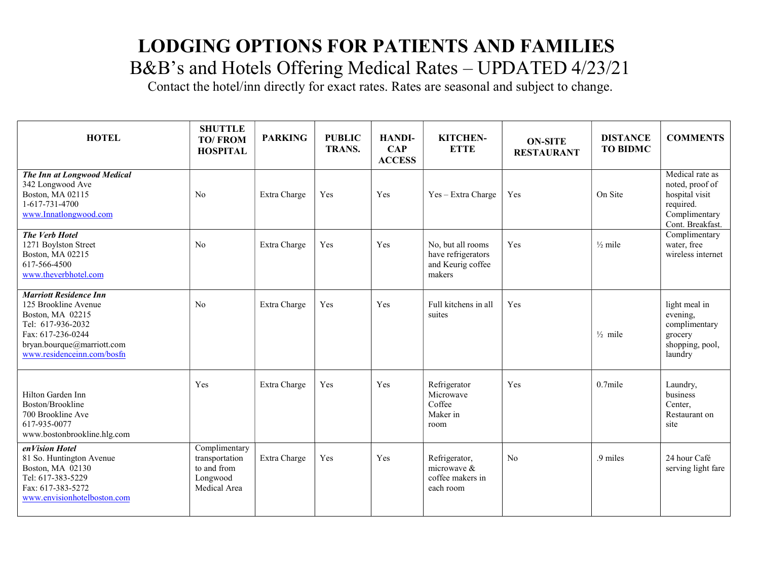Contact the hotel/inn directly for exact rates. Rates are seasonal and subject to change.

| <b>HOTEL</b>                                                                                                                                                                    | <b>SHUTTLE</b><br><b>TO/FROM</b><br><b>HOSPITAL</b>                        | <b>PARKING</b> | <b>PUBLIC</b><br><b>TRANS.</b> | <b>HANDI-</b><br>$\bf CAP$<br><b>ACCESS</b> | <b>KITCHEN-</b><br><b>ETTE</b>                                         | <b>ON-SITE</b><br><b>RESTAURANT</b> | <b>DISTANCE</b><br><b>TO BIDMC</b> | <b>COMMENTS</b>                                                                                        |
|---------------------------------------------------------------------------------------------------------------------------------------------------------------------------------|----------------------------------------------------------------------------|----------------|--------------------------------|---------------------------------------------|------------------------------------------------------------------------|-------------------------------------|------------------------------------|--------------------------------------------------------------------------------------------------------|
| The Inn at Longwood Medical<br>342 Longwood Ave<br>Boston, MA 02115<br>1-617-731-4700<br>www.Innatlongwood.com                                                                  | No                                                                         | Extra Charge   | Yes                            | Yes                                         | $Yes - Extra Charge$                                                   | Yes                                 | On Site                            | Medical rate as<br>noted, proof of<br>hospital visit<br>required.<br>Complimentary<br>Cont. Breakfast. |
| The Verb Hotel<br>1271 Boylston Street<br>Boston, MA 02215<br>617-566-4500<br>www.theverbhotel.com                                                                              | No                                                                         | Extra Charge   | Yes                            | Yes                                         | No, but all rooms<br>have refrigerators<br>and Keurig coffee<br>makers | Yes                                 | $\frac{1}{2}$ mile                 | Complimentary<br>water, free<br>wireless internet                                                      |
| <b>Marriott Residence Inn</b><br>125 Brookline Avenue<br>Boston, MA 02215<br>Tel: 617-936-2032<br>Fax: 617-236-0244<br>bryan.bourque@marriott.com<br>www.residenceinn.com/bosfn | N <sub>o</sub>                                                             | Extra Charge   | Yes                            | Yes                                         | Full kitchens in all<br>suites                                         | Yes                                 | $\frac{1}{2}$ mile                 | light meal in<br>evening,<br>complimentary<br>grocery<br>shopping, pool,<br>laundry                    |
| Hilton Garden Inn<br>Boston/Brookline<br>700 Brookline Ave<br>617-935-0077<br>www.bostonbrookline.hlg.com                                                                       | Yes                                                                        | Extra Charge   | Yes                            | Yes                                         | Refrigerator<br>Microwave<br>Coffee<br>Maker in<br>room                | Yes                                 | $0.7$ mile                         | Laundry,<br>business<br>Center,<br>Restaurant on<br>site                                               |
| enVision Hotel<br>81 So. Huntington Avenue<br>Boston, MA 02130<br>Tel: 617-383-5229<br>Fax: 617-383-5272<br>www.envisionhotelboston.com                                         | Complimentary<br>transportation<br>to and from<br>Longwood<br>Medical Area | Extra Charge   | Yes                            | Yes                                         | Refrigerator,<br>microwave &<br>coffee makers in<br>each room          | No                                  | .9 miles                           | 24 hour Café<br>serving light fare                                                                     |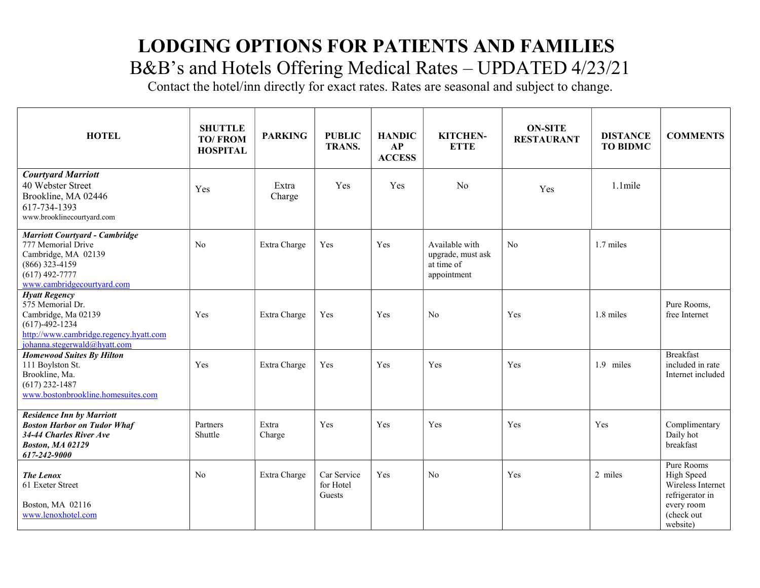Contact the hotel/inn directly for exact rates. Rates are seasonal and subject to change.

| <b>HOTEL</b>                                                                                                                                                      | <b>SHUTTLE</b><br><b>TO/FROM</b><br><b>HOSPITAL</b> | <b>PARKING</b>  | <b>PUBLIC</b><br><b>TRANS.</b>     | <b>HANDIC</b><br>AP<br><b>ACCESS</b> | KITCHEN-<br><b>ETTE</b>                                          | <b>ON-SITE</b><br><b>RESTAURANT</b> | <b>DISTANCE</b><br><b>TO BIDMC</b> | <b>COMMENTS</b>                                                                                          |
|-------------------------------------------------------------------------------------------------------------------------------------------------------------------|-----------------------------------------------------|-----------------|------------------------------------|--------------------------------------|------------------------------------------------------------------|-------------------------------------|------------------------------------|----------------------------------------------------------------------------------------------------------|
| <b>Courtyard Marriott</b><br>40 Webster Street<br>Brookline, MA 02446<br>617-734-1393<br>www.brooklinecourtyard.com                                               | Yes                                                 | Extra<br>Charge | Yes                                | Yes                                  | N <sub>o</sub>                                                   | Yes                                 | $1.1$ mile                         |                                                                                                          |
| <b>Marriott Courtyard - Cambridge</b><br>777 Memorial Drive<br>Cambridge, MA 02139<br>$(866)$ 323-4159<br>$(617)$ 492-7777<br>www.cambridgecourtyard.com          | N <sub>o</sub>                                      | Extra Charge    | Yes                                | Yes                                  | Available with<br>upgrade, must ask<br>at time of<br>appointment | No                                  | 1.7 miles                          |                                                                                                          |
| <b>Hyatt Regency</b><br>575 Memorial Dr.<br>Cambridge, Ma 02139<br>$(617) - 492 - 1234$<br>http://www.cambridge.regency.hyatt.com<br>johanna.stegerwald@hyatt.com | Yes                                                 | Extra Charge    | Yes                                | Yes                                  | No                                                               | Yes                                 | 1.8 miles                          | Pure Rooms,<br>free Internet                                                                             |
| <b>Homewood Suites By Hilton</b><br>111 Boylston St.<br>Brookline, Ma.<br>$(617)$ 232-1487<br>www.bostonbrookline.homesuites.com                                  | Yes                                                 | Extra Charge    | Yes                                | Yes                                  | Yes                                                              | Yes                                 | 1.9 miles                          | <b>Breakfast</b><br>included in rate<br>Internet included                                                |
| <b>Residence Inn by Marriott</b><br><b>Boston Harbor on Tudor Whaf</b><br>34-44 Charles River Ave<br><b>Boston, MA 02129</b><br>617-242-9000                      | Partners<br>Shuttle                                 | Extra<br>Charge | Yes                                | Yes                                  | Yes                                                              | Yes                                 | Yes                                | Complimentary<br>Daily hot<br>breakfast                                                                  |
| <b>The Lenox</b><br>61 Exeter Street<br>Boston, MA 02116<br>www.lenoxhotel.com                                                                                    | No                                                  | Extra Charge    | Car Service<br>for Hotel<br>Guests | Yes                                  | N <sub>o</sub>                                                   | Yes                                 | 2 miles                            | Pure Rooms<br>High Speed<br>Wireless Internet<br>refrigerator in<br>every room<br>(check out<br>website) |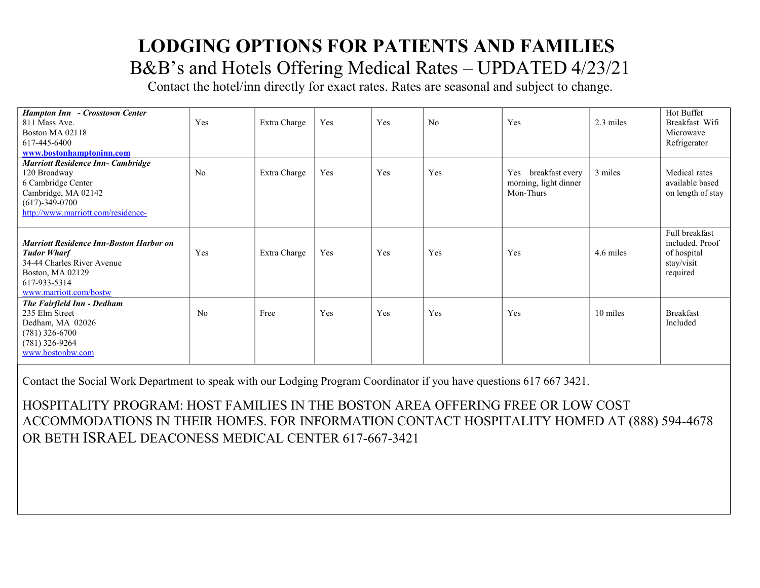Contact the hotel/inn directly for exact rates. Rates are seasonal and subject to change.

| Hampton Inn - Crosstown Center<br>811 Mass Ave.<br>Boston MA 02118<br>617-445-6400<br>www.bostonhamptoninn.com                                                      | Yes            | Extra Charge | Yes | Yes | No  | Yes                                                          | 2.3 miles | Hot Buffet<br>Breakfast Wifi<br>Microwave<br>Refrigerator                  |
|---------------------------------------------------------------------------------------------------------------------------------------------------------------------|----------------|--------------|-----|-----|-----|--------------------------------------------------------------|-----------|----------------------------------------------------------------------------|
| <b>Marriott Residence Inn- Cambridge</b><br>120 Broadway<br>6 Cambridge Center<br>Cambridge, MA 02142<br>$(617) - 349 - 0700$<br>http://www.marriott.com/residence- | No             | Extra Charge | Yes | Yes | Yes | breakfast every<br>Yes<br>morning, light dinner<br>Mon-Thurs | 3 miles   | Medical rates<br>available based<br>on length of stay                      |
| <b>Marriott Residence Inn-Boston Harbor on</b><br><b>Tudor Wharf</b><br>34-44 Charles River Avenue<br>Boston, MA 02129<br>617-933-5314<br>www.marriott.com/bostw    | Yes            | Extra Charge | Yes | Yes | Yes | Yes                                                          | 4.6 miles | Full breakfast<br>included. Proof<br>of hospital<br>stay/visit<br>required |
| The Fairfield Inn - Dedham<br>235 Elm Street<br>Dedham, MA 02026<br>$(781)$ 326-6700<br>$(781)$ 326-9264<br>www.bostonbw.com                                        | N <sub>o</sub> | Free         | Yes | Yes | Yes | Yes                                                          | 10 miles  | <b>Breakfast</b><br>Included                                               |

Contact the Social Work Department to speak with our Lodging Program Coordinator if you have questions 617 667 3421.

HOSPITALITY PROGRAM: HOST FAMILIES IN THE BOSTON AREA OFFERING FREE OR LOW COST ACCOMMODATIONS IN THEIR HOMES. FOR INFORMATION CONTACT HOSPITALITY HOMED AT (888) 594-4678 OR BETH ISRAEL DEACONESS MEDICAL CENTER 617-667-3421